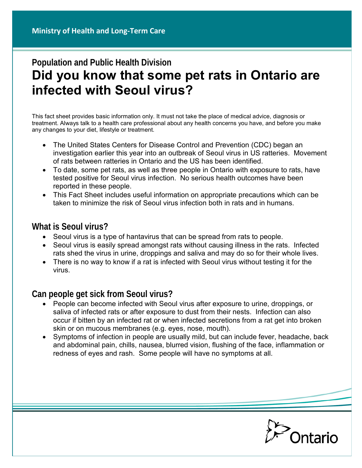# **Population and Public Health Division Did you know that some pet rats in Ontario are infected with Seoul virus?**

This fact sheet provides basic information only. It must not take the place of medical advice, diagnosis or treatment. Always talk to a health care professional about any health concerns you have, and before you make any changes to your diet, lifestyle or treatment.

- The United States Centers for Disease Control and Prevention (CDC) began an investigation earlier this year into an outbreak of Seoul virus in US ratteries. Movement of rats between ratteries in Ontario and the US has been identified.
- To date, some pet rats, as well as three people in Ontario with exposure to rats, have tested positive for Seoul virus infection. No serious health outcomes have been reported in these people.
- This Fact Sheet includes useful information on appropriate precautions which can be taken to minimize the risk of Seoul virus infection both in rats and in humans.

### **What is Seoul virus?**

- Seoul virus is a type of hantavirus that can be spread from rats to people.
- Seoul virus is easily spread amongst rats without causing illness in the rats. Infected rats shed the virus in urine, droppings and saliva and may do so for their whole lives.
- There is no way to know if a rat is infected with Seoul virus without testing it for the virus.

### **Can people get sick from Seoul virus?**

- People can become infected with Seoul virus after exposure to urine, droppings, or saliva of infected rats or after exposure to dust from their nests. Infection can also occur if bitten by an infected rat or when infected secretions from a rat get into broken skin or on mucous membranes (e.g. eyes, nose, mouth).
- Symptoms of infection in people are usually mild, but can include fever, headache, back and abdominal pain, chills, nausea, blurred vision, flushing of the face, inflammation or redness of eyes and rash. Some people will have no symptoms at all.

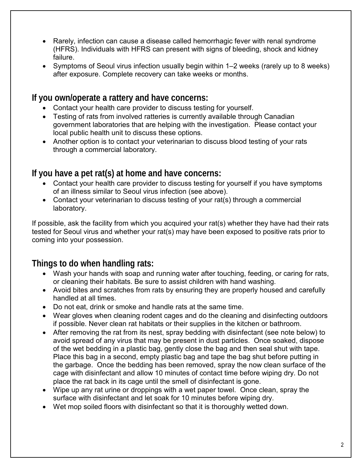- Rarely, infection can cause a disease called hemorrhagic fever with renal syndrome (HFRS). Individuals with HFRS can present with signs of bleeding, shock and kidney failure.
- Symptoms of Seoul virus infection usually begin within 1–2 weeks (rarely up to 8 weeks) after exposure. Complete recovery can take weeks or months.

## **If you own/operate a rattery and have concerns:**

- Contact your health care provider to discuss testing for yourself.
- Testing of rats from involved ratteries is currently available through Canadian government laboratories that are helping with the investigation. Please contact your local public health unit to discuss these options.
- Another option is to contact your veterinarian to discuss blood testing of your rats through a commercial laboratory.

#### **If you have a pet rat(s) at home and have concerns:**

- Contact your health care provider to discuss testing for yourself if you have symptoms of an illness similar to Seoul virus infection (see above).
- Contact your veterinarian to discuss testing of your rat(s) through a commercial laboratory.

If possible, ask the facility from which you acquired your rat(s) whether they have had their rats tested for Seoul virus and whether your rat(s) may have been exposed to positive rats prior to coming into your possession.

## **Things to do when handling rats:**

- Wash your hands with soap and running water after touching, feeding, or caring for rats, or cleaning their habitats. Be sure to assist children with hand washing.
- Avoid bites and scratches from rats by ensuring they are properly housed and carefully handled at all times.
- Do not eat, drink or smoke and handle rats at the same time.
- Wear gloves when cleaning rodent cages and do the cleaning and disinfecting outdoors if possible. Never clean rat habitats or their supplies in the kitchen or bathroom.
- After removing the rat from its nest, spray bedding with disinfectant (see note below) to avoid spread of any virus that may be present in dust particles. Once soaked, dispose of the wet bedding in a plastic bag, gently close the bag and then seal shut with tape. Place this bag in a second, empty plastic bag and tape the bag shut before putting in the garbage. Once the bedding has been removed, spray the now clean surface of the cage with disinfectant and allow 10 minutes of contact time before wiping dry. Do not place the rat back in its cage until the smell of disinfectant is gone.
- Wipe up any rat urine or droppings with a wet paper towel. Once clean, spray the surface with disinfectant and let soak for 10 minutes before wiping dry.
- Wet mop soiled floors with disinfectant so that it is thoroughly wetted down.